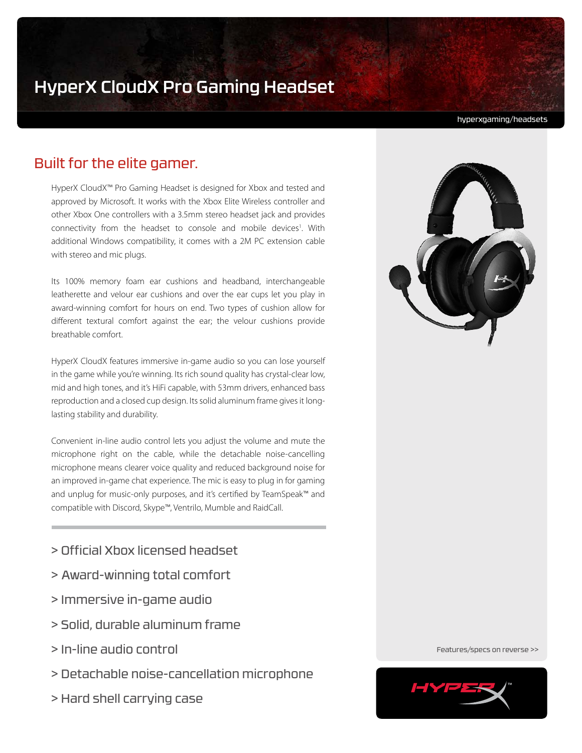# HyperX CloudX Pro Gaming Headset

hyperxgaming/headsets

# Built for the elite gamer.

HyperX CloudX™ Pro Gaming Headset is designed for Xbox and tested and approved by Microsoft. It works with the Xbox Elite Wireless controller and other Xbox One controllers with a 3.5mm stereo headset jack and provides connectivity from the headset to console and mobile devices<sup>1</sup>. With additional Windows compatibility, it comes with a 2M PC extension cable with stereo and mic plugs.

Its 100% memory foam ear cushions and headband, interchangeable leatherette and velour ear cushions and over the ear cups let you play in award-winning comfort for hours on end. Two types of cushion allow for different textural comfort against the ear; the velour cushions provide breathable comfort.

HyperX CloudX features immersive in-game audio so you can lose yourself in the game while you're winning. Its rich sound quality has crystal-clear low, mid and high tones, and it's HiFi capable, with 53mm drivers, enhanced bass reproduction and a closed cup design. Its solid aluminum frame gives it longlasting stability and durability.

Convenient in-line audio control lets you adjust the volume and mute the microphone right on the cable, while the detachable noise-cancelling microphone means clearer voice quality and reduced background noise for an improved in-game chat experience. The mic is easy to plug in for gaming and unplug for music-only purposes, and it's certified by TeamSpeak™ and compatible with Discord, Skype™, Ventrilo, Mumble and RaidCall.

- > Official Xbox licensed headset
- > Award-winning total comfort
- > Immersive in-game audio
- > Solid, durable aluminum frame
- > In-line audio control
- > Detachable noise-cancellation microphone
- > Hard shell carrying case



Features/specs on reverse >>